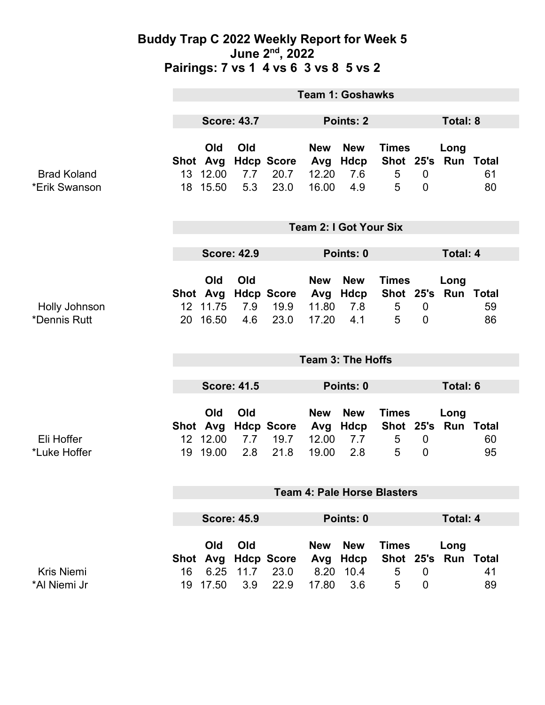### **Buddy Trap C 2022 Weekly Report for Week 5 June 2nd, 2022 Pairings: 7 vs 1 4 vs 6 3 vs 8 5 vs 2**

|                                     | <b>Team 1: Goshawks</b>            |                                         |                    |                                   |                                     |                                          |                                               |                               |                   |                              |
|-------------------------------------|------------------------------------|-----------------------------------------|--------------------|-----------------------------------|-------------------------------------|------------------------------------------|-----------------------------------------------|-------------------------------|-------------------|------------------------------|
|                                     | <b>Score: 43.7</b>                 |                                         |                    |                                   | Points: 2                           |                                          |                                               | Total: 8                      |                   |                              |
| <b>Brad Koland</b><br>*Erik Swanson |                                    | Old<br>Shot Avg<br>13 12.00<br>18 15.50 | Old<br>7.7<br>5.3  | <b>Hdcp Score</b><br>20.7<br>23.0 | <b>New</b><br>Avg<br>12.20<br>16.00 | <b>New</b><br>Hdcp<br>7.6<br>4.9         | <b>Times</b><br>Shot 25's<br>5<br>5           | $\mathbf 0$<br>$\overline{0}$ | Long<br>Run Total | 61<br>80                     |
|                                     | <b>Team 2: I Got Your Six</b>      |                                         |                    |                                   |                                     |                                          |                                               |                               |                   |                              |
|                                     | <b>Score: 42.9</b>                 |                                         |                    | Points: 0                         |                                     |                                          |                                               | <b>Total: 4</b>               |                   |                              |
| Holly Johnson<br>*Dennis Rutt       | 20                                 | Old<br>Shot Avg<br>12 11.75<br>16.50    | Old<br>7.9<br>4.6  | <b>Hdcp Score</b><br>19.9<br>23.0 | <b>New</b><br>Avg<br>11.80<br>17.20 | <b>New</b><br>Hdcp<br>7.8<br>4.1         | <b>Times</b><br>Shot 25's Run Total<br>5<br>5 | $\mathbf 0$<br>$\mathbf 0$    | Long              | 59<br>86                     |
|                                     | <b>Team 3: The Hoffs</b>           |                                         |                    |                                   |                                     |                                          |                                               |                               |                   |                              |
|                                     | <b>Score: 41.5</b>                 |                                         |                    |                                   | Points: 0                           |                                          |                                               | <b>Total: 6</b>               |                   |                              |
| Eli Hoffer<br>*Luke Hoffer          |                                    | Old<br>Shot Avg<br>12 12.00<br>19 19.00 | Old<br>7.7<br>2.8  | <b>Hdcp Score</b><br>19.7<br>21.8 | <b>New</b><br>Avg<br>12.00<br>19.00 | <b>New</b><br>Hdcp<br>7.7<br>2.8         | <b>Times</b><br>Shot 25's Run Total<br>5<br>5 | $\mathbf 0$<br>$\overline{0}$ | Long              | 60<br>95                     |
|                                     | <b>Team 4: Pale Horse Blasters</b> |                                         |                    |                                   |                                     |                                          |                                               |                               |                   |                              |
|                                     | <b>Score: 45.9</b>                 |                                         |                    | Points: 0                         |                                     |                                          |                                               | <b>Total: 4</b>               |                   |                              |
| <b>Kris Niemi</b><br>*Al Niemi Jr   | Shot<br>16                         | Old<br>Avg<br>6.25<br>19 17.50          | Old<br>11.7<br>3.9 | <b>Hdcp Score</b><br>23.0<br>22.9 | <b>New</b><br>Avg<br>8.20<br>17.80  | <b>New</b><br><b>Hdcp</b><br>10.4<br>3.6 | <b>Times</b><br>Shot 25's<br>5<br>5           | $\mathbf 0$<br>$\overline{0}$ | Long              | <b>Run Total</b><br>41<br>89 |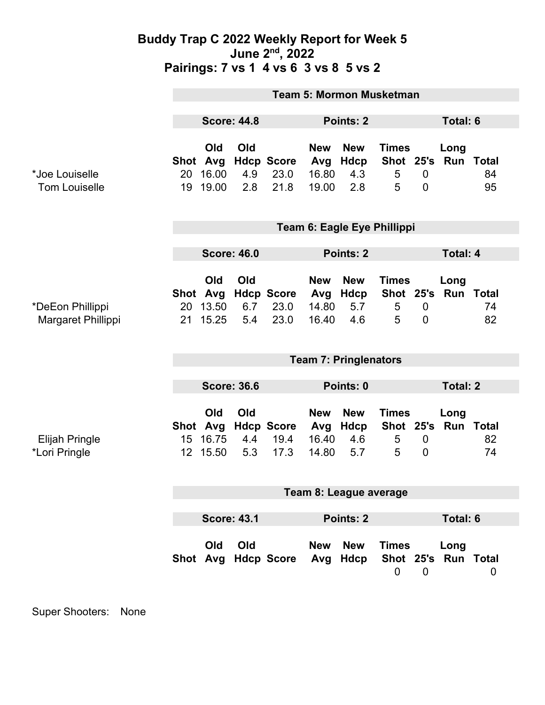### **Buddy Trap C 2022 Weekly Report for Week 5 June 2nd, 2022 Pairings: 7 vs 1 4 vs 6 3 vs 8 5 vs 2**

|                                        | <b>Team 5: Mormon Musketman</b> |                                   |                   |                                   |                                     |                                  |                                     |                                    |                             |          |
|----------------------------------------|---------------------------------|-----------------------------------|-------------------|-----------------------------------|-------------------------------------|----------------------------------|-------------------------------------|------------------------------------|-----------------------------|----------|
|                                        | <b>Score: 44.8</b>              |                                   |                   | Points: 2                         |                                     |                                  |                                     |                                    | <b>Total: 6</b>             |          |
| *Joe Louiselle<br><b>Tom Louiselle</b> | Shot Avg<br>20<br>19            | Old<br>16.00<br>19.00             | Old<br>4.9<br>2.8 | <b>Hdcp Score</b><br>23.0<br>21.8 | <b>New</b><br>Avg<br>16.80<br>19.00 | <b>New</b><br>Hdcp<br>4.3<br>2.8 | <b>Times</b><br>5<br>5              | $\mathbf 0$<br>$\mathbf 0$         | Long<br>Shot 25's Run Total | 84<br>95 |
|                                        | Team 6: Eagle Eye Phillippi     |                                   |                   |                                   |                                     |                                  |                                     |                                    |                             |          |
|                                        | <b>Score: 46.0</b>              |                                   |                   |                                   | <b>Points: 2</b>                    |                                  |                                     | <b>Total: 4</b>                    |                             |          |
| *DeEon Phillippi<br>Margaret Phillippi | 20<br>21                        | Old<br>Shot Avg<br>13.50<br>15.25 | Old<br>6.7<br>5.4 | <b>Hdcp Score</b><br>23.0<br>23.0 | <b>New</b><br>Avg<br>14.80<br>16.40 | <b>New</b><br>Hdcp<br>5.7<br>4.6 | <b>Times</b><br>5<br>5              | $\boldsymbol{0}$<br>$\overline{0}$ | Long<br>Shot 25's Run Total | 74<br>82 |
|                                        | <b>Team 7: Pringlenators</b>    |                                   |                   |                                   |                                     |                                  |                                     |                                    |                             |          |
|                                        | <b>Score: 36.6</b>              |                                   |                   | Points: 0                         |                                     |                                  | <b>Total: 2</b>                     |                                    |                             |          |
| <b>Elijah Pringle</b><br>*Lori Pringle | Shot Avg<br>15 <sub>15</sub>    | Old<br>16.75<br>12 15.50          | Old<br>4.4<br>5.3 | <b>Hdcp Score</b><br>19.4<br>17.3 | <b>New</b><br>Avg<br>16.40<br>14.80 | <b>New</b><br>Hdcp<br>4.6<br>5.7 | <b>Times</b><br>Shot 25's<br>5<br>5 | $\boldsymbol{0}$<br>$\overline{0}$ | Long<br><b>Run Total</b>    | 82<br>74 |
|                                        | Team 8: League average          |                                   |                   |                                   |                                     |                                  |                                     |                                    |                             |          |
|                                        |                                 |                                   |                   |                                   |                                     |                                  |                                     |                                    |                             |          |
|                                        |                                 | <b>Score: 43.1</b>                |                   |                                   | Points: 2                           |                                  |                                     |                                    | Total: 6                    |          |
|                                        |                                 | Old                               | Old               | Shot Avg Hdcp Score               | <b>New</b>                          | <b>New</b><br>Avg Hdcp           | <b>Times</b><br>$\mathbf 0$         | $\mathbf 0$                        | Long<br>Shot 25's Run Total | 0        |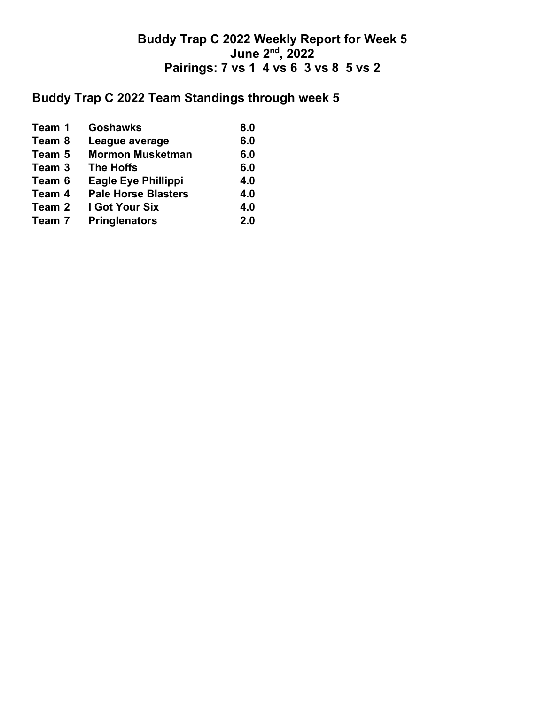## **Buddy Trap C 2022 Weekly Report for Week 5 June 2nd, 2022 Pairings: 7 vs 1 4 vs 6 3 vs 8 5 vs 2**

# **Buddy Trap C 2022 Team Standings through week 5**

| <b>Goshawks</b><br>Team 1            | 8.0 |
|--------------------------------------|-----|
| Team 8<br>League average             | 6.0 |
| <b>Mormon Musketman</b><br>Team 5    | 6.0 |
| <b>The Hoffs</b><br>Team 3           | 6.0 |
| <b>Eagle Eye Phillippi</b><br>Team 6 | 4.0 |
| <b>Pale Horse Blasters</b><br>Team 4 | 4.0 |
| <b>I Got Your Six</b><br>Team 2      | 4.0 |
| <b>Pringlenators</b><br>Team 7       | 2.0 |
|                                      |     |